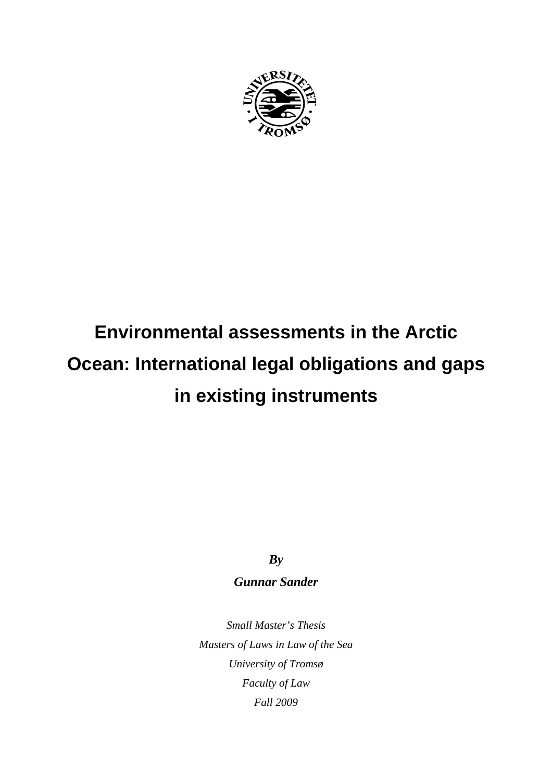

## **Environmental assessments in the Arctic Ocean: International legal obligations and gaps in existing instruments**

*By* 

## *Gunnar Sander*

*Small Master's Thesis Masters of Laws in Law of the Sea University of Tromsø Faculty of Law Fall 2009*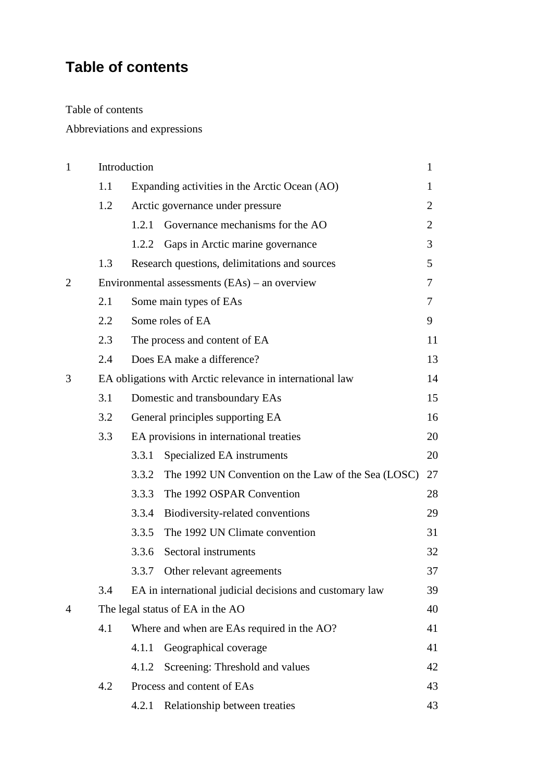## **Table of contents**

Table of contents

Abbreviations and expressions

| $\mathbf{1}$   | Introduction                                              |                                                              |                |  |  |
|----------------|-----------------------------------------------------------|--------------------------------------------------------------|----------------|--|--|
|                | 1.1                                                       | Expanding activities in the Arctic Ocean (AO)                |                |  |  |
|                | 1.2                                                       | Arctic governance under pressure                             | $\overline{2}$ |  |  |
|                |                                                           | Governance mechanisms for the AO<br>1.2.1                    | $\overline{2}$ |  |  |
|                |                                                           | Gaps in Arctic marine governance<br>1.2.2                    | 3              |  |  |
|                | 1.3                                                       | Research questions, delimitations and sources                |                |  |  |
| $\overline{2}$ | Environmental assessments $(EAs)$ – an overview           |                                                              |                |  |  |
|                | 2.1                                                       | Some main types of EAs                                       | 7              |  |  |
|                | 2.2                                                       | Some roles of EA<br>9                                        |                |  |  |
|                | 2.3                                                       | The process and content of EA<br>11                          |                |  |  |
|                | 2.4                                                       | Does EA make a difference?<br>13                             |                |  |  |
| 3              | EA obligations with Arctic relevance in international law |                                                              |                |  |  |
|                | 3.1                                                       | Domestic and transboundary EAs                               | 15             |  |  |
|                | 3.2                                                       | General principles supporting EA<br>16                       |                |  |  |
|                | 3.3                                                       | EA provisions in international treaties                      |                |  |  |
|                |                                                           | Specialized EA instruments<br>3.3.1                          | 20             |  |  |
|                |                                                           | The 1992 UN Convention on the Law of the Sea (LOSC)<br>3.3.2 | 27             |  |  |
|                |                                                           | 3.3.3<br>The 1992 OSPAR Convention                           | 28             |  |  |
|                |                                                           | 3.3.4<br>Biodiversity-related conventions                    | 29             |  |  |
|                |                                                           | 3.3.5<br>The 1992 UN Climate convention                      | 31             |  |  |
|                |                                                           | Sectoral instruments<br>3.3.6                                | 32             |  |  |
|                |                                                           | 3.3.7<br>Other relevant agreements                           | 37             |  |  |
|                | 3.4                                                       | EA in international judicial decisions and customary law     | 39             |  |  |
| 4              | The legal status of EA in the AO                          |                                                              |                |  |  |
|                | 4.1                                                       | Where and when are EAs required in the AO?                   | 41             |  |  |
|                |                                                           | 4.1.1<br>Geographical coverage                               | 41             |  |  |
|                |                                                           | Screening: Threshold and values<br>4.1.2                     | 42             |  |  |
|                | 4.2                                                       | Process and content of EAs                                   | 43             |  |  |
|                |                                                           | Relationship between treaties<br>4.2.1                       | 43             |  |  |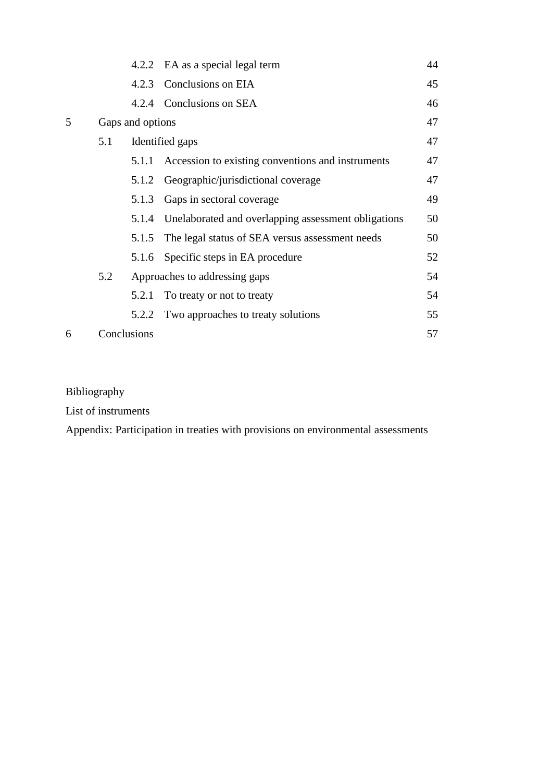|   |     |                  | 4.2.2 EA as a special legal term                    | 44 |  |  |
|---|-----|------------------|-----------------------------------------------------|----|--|--|
|   |     |                  | 4.2.3 Conclusions on EIA                            | 45 |  |  |
|   |     | 4.2.4            | Conclusions on SEA                                  | 46 |  |  |
| 5 |     | Gaps and options |                                                     |    |  |  |
|   | 5.1 |                  | Identified gaps                                     | 47 |  |  |
|   |     | 5.1.1            | Accession to existing conventions and instruments   | 47 |  |  |
|   |     | 5.1.2            | Geographic/jurisdictional coverage                  | 47 |  |  |
|   |     | 5.1.3            | Gaps in sectoral coverage                           | 49 |  |  |
|   |     | 5.1.4            | Unelaborated and overlapping assessment obligations | 50 |  |  |
|   |     | 5.1.5            | The legal status of SEA versus assessment needs     | 50 |  |  |
|   |     | 5.1.6            | Specific steps in EA procedure                      | 52 |  |  |
|   | 5.2 |                  | Approaches to addressing gaps                       | 54 |  |  |
|   |     | 5.2.1            | To treaty or not to treaty                          | 54 |  |  |
|   |     | 5.2.2            | Two approaches to treaty solutions                  | 55 |  |  |
| 6 |     | Conclusions      |                                                     | 57 |  |  |

Bibliography

List of instruments

Appendix: Participation in treaties with provisions on environmental assessments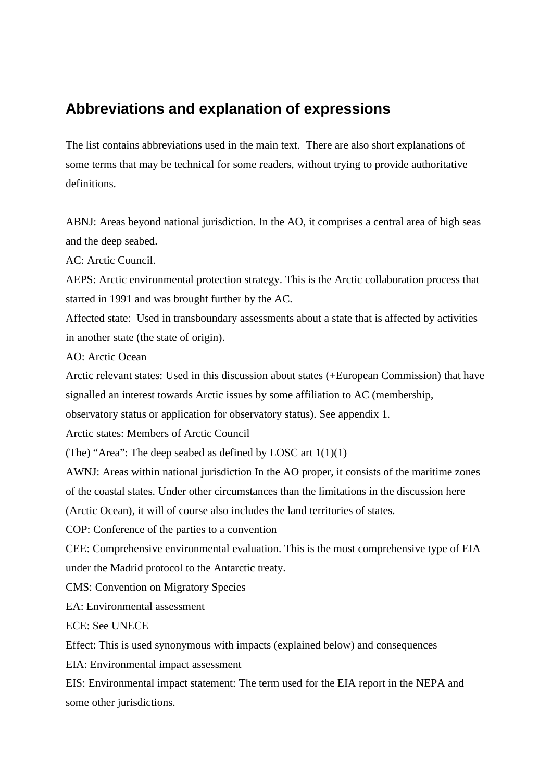## **Abbreviations and explanation of expressions**

The list contains abbreviations used in the main text. There are also short explanations of some terms that may be technical for some readers, without trying to provide authoritative definitions.

ABNJ: Areas beyond national jurisdiction. In the AO, it comprises a central area of high seas and the deep seabed.

AC: Arctic Council.

AEPS: Arctic environmental protection strategy. This is the Arctic collaboration process that started in 1991 and was brought further by the AC.

Affected state: Used in transboundary assessments about a state that is affected by activities in another state (the state of origin).

AO: Arctic Ocean

Arctic relevant states: Used in this discussion about states (+European Commission) that have signalled an interest towards Arctic issues by some affiliation to AC (membership,

observatory status or application for observatory status). See appendix 1.

Arctic states: Members of Arctic Council

(The) "Area": The deep seabed as defined by LOSC art  $1(1)(1)$ 

AWNJ: Areas within national jurisdiction In the AO proper, it consists of the maritime zones of the coastal states. Under other circumstances than the limitations in the discussion here (Arctic Ocean), it will of course also includes the land territories of states.

COP: Conference of the parties to a convention

CEE: Comprehensive environmental evaluation. This is the most comprehensive type of EIA under the Madrid protocol to the Antarctic treaty.

CMS: Convention on Migratory Species

EA: Environmental assessment

ECE: See UNECE

Effect: This is used synonymous with impacts (explained below) and consequences

EIA: Environmental impact assessment

EIS: Environmental impact statement: The term used for the EIA report in the NEPA and some other jurisdictions.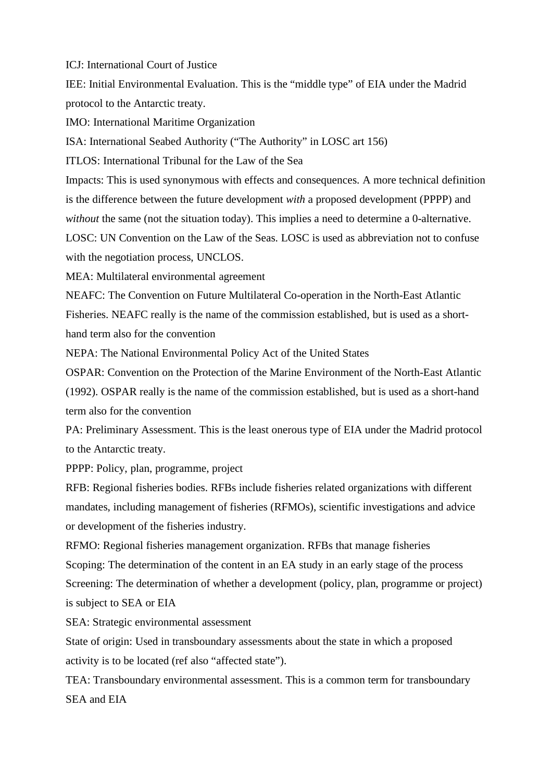ICJ: International Court of Justice

IEE: Initial Environmental Evaluation. This is the "middle type" of EIA under the Madrid protocol to the Antarctic treaty.

IMO: International Maritime Organization

ISA: International Seabed Authority ("The Authority" in LOSC art 156)

ITLOS: International Tribunal for the Law of the Sea

Impacts: This is used synonymous with effects and consequences. A more technical definition is the difference between the future development *with* a proposed development (PPPP) and *without* the same (not the situation today). This implies a need to determine a 0-alternative.

LOSC: UN Convention on the Law of the Seas. LOSC is used as abbreviation not to confuse with the negotiation process, UNCLOS.

MEA: Multilateral environmental agreement

NEAFC: The Convention on Future Multilateral Co-operation in the North-East Atlantic Fisheries. NEAFC really is the name of the commission established, but is used as a shorthand term also for the convention

NEPA: The National Environmental Policy Act of the United States

OSPAR: Convention on the Protection of the Marine Environment of the North-East Atlantic (1992). OSPAR really is the name of the commission established, but is used as a short-hand term also for the convention

PA: Preliminary Assessment. This is the least onerous type of EIA under the Madrid protocol to the Antarctic treaty.

PPPP: Policy, plan, programme, project

RFB: Regional fisheries bodies. RFBs include fisheries related organizations with different mandates, including management of fisheries (RFMOs), scientific investigations and advice or development of the fisheries industry.

RFMO: Regional fisheries management organization. RFBs that manage fisheries Scoping: The determination of the content in an EA study in an early stage of the process Screening: The determination of whether a development (policy, plan, programme or project) is subject to SEA or EIA

SEA: Strategic environmental assessment

State of origin: Used in transboundary assessments about the state in which a proposed activity is to be located (ref also "affected state").

TEA: Transboundary environmental assessment. This is a common term for transboundary SEA and EIA